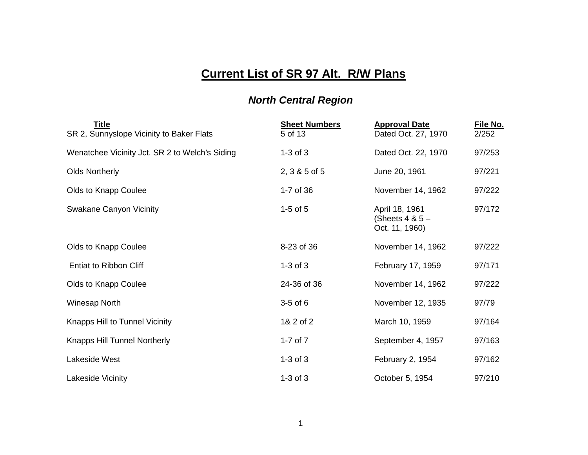## **Current List of SR 97 Alt. R/W Plans**

## *North Central Region*

| <b>Title</b><br>SR 2, Sunnyslope Vicinity to Baker Flats | <b>Sheet Numbers</b><br>5 of 13 | <b>Approval Date</b><br>Dated Oct. 27, 1970           | File No.<br>2/252 |
|----------------------------------------------------------|---------------------------------|-------------------------------------------------------|-------------------|
| Wenatchee Vicinity Jct. SR 2 to Welch's Siding           | $1-3$ of $3$                    | Dated Oct. 22, 1970                                   | 97/253            |
| <b>Olds Northerly</b>                                    | 2, 3 & 5 of 5                   | June 20, 1961                                         | 97/221            |
| Olds to Knapp Coulee                                     | 1-7 of 36                       | November 14, 1962                                     | 97/222            |
| <b>Swakane Canyon Vicinity</b>                           | $1-5$ of $5$                    | April 18, 1961<br>(Sheets $4 & 5 -$<br>Oct. 11, 1960) | 97/172            |
| Olds to Knapp Coulee                                     | 8-23 of 36                      | November 14, 1962                                     | 97/222            |
| <b>Entiat to Ribbon Cliff</b>                            | $1-3$ of $3$                    | February 17, 1959                                     | 97/171            |
| Olds to Knapp Coulee                                     | 24-36 of 36                     | November 14, 1962                                     | 97/222            |
| Winesap North                                            | $3-5$ of $6$                    | November 12, 1935                                     | 97/79             |
| Knapps Hill to Tunnel Vicinity                           | 1& 2 of 2                       | March 10, 1959                                        | 97/164            |
| <b>Knapps Hill Tunnel Northerly</b>                      | 1-7 of $7$                      | September 4, 1957                                     | 97/163            |
| Lakeside West                                            | $1-3$ of $3$                    | February 2, 1954                                      | 97/162            |
| Lakeside Vicinity                                        | $1-3$ of $3$                    | October 5, 1954                                       | 97/210            |